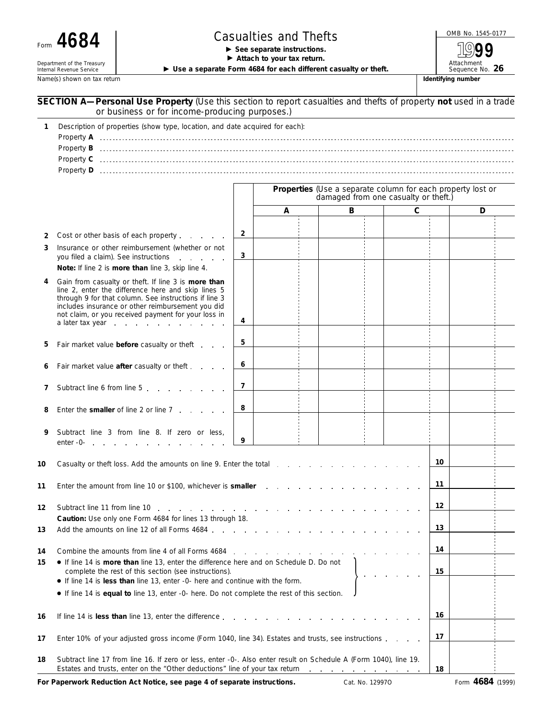| Form | Л<br>Ю<br>O. |  |
|------|--------------|--|
|      |              |  |

Department of the Treasury<br>Internal Revenue Service

## Form  $4684$   $\begin{array}{|l|l|}\n \hline\n \end{array}$  **Casualties and Thefts**  $\begin{array}{|l|l|}\n \hline\n \end{array}$   $\begin{array}{|l|l|}\n \hline\n \end{array}$   $\begin{array}{|l|l|}\n \hline\n \end{array}$   $\begin{array}{|l|l|}\n \hline\n \end{array}$

Attach to your tax return.

▶ Use a separate Form 4684 for each different casualty or theft.

Name(s) shown on tax return **Identifying number Identifying number Identifying number Identifying number** 

Attachment<br>Sequence No. 26

**1999**

|                                                                                                                                                                                                                       | SECTION A-Personal Use Property (Use this section to report casualties and thefts of property not used in a trade<br>or business or for income-producing purposes.)                                                                                                                                |                |   |                                      |                                                             |    |   |
|-----------------------------------------------------------------------------------------------------------------------------------------------------------------------------------------------------------------------|----------------------------------------------------------------------------------------------------------------------------------------------------------------------------------------------------------------------------------------------------------------------------------------------------|----------------|---|--------------------------------------|-------------------------------------------------------------|----|---|
| 1                                                                                                                                                                                                                     | Description of properties (show type, location, and date acquired for each):                                                                                                                                                                                                                       |                |   |                                      |                                                             |    |   |
|                                                                                                                                                                                                                       |                                                                                                                                                                                                                                                                                                    |                |   | damaged from one casualty or theft.) | Properties (Use a separate column for each property lost or |    |   |
|                                                                                                                                                                                                                       |                                                                                                                                                                                                                                                                                                    |                | Α | в                                    |                                                             | С  | D |
| 2                                                                                                                                                                                                                     | Cost or other basis of each property                                                                                                                                                                                                                                                               | $\overline{2}$ |   |                                      |                                                             |    |   |
| 3                                                                                                                                                                                                                     | Insurance or other reimbursement (whether or not<br>you filed a claim). See instructions<br>Note: If line 2 is more than line 3, skip line 4.                                                                                                                                                      | 3              |   |                                      |                                                             |    |   |
| 4                                                                                                                                                                                                                     | Gain from casualty or theft. If line 3 is more than<br>line 2, enter the difference here and skip lines 5<br>through 9 for that column. See instructions if line 3<br>includes insurance or other reimbursement you did<br>not claim, or you received payment for your loss in<br>a later tax year | 4              |   |                                      |                                                             |    |   |
| 5                                                                                                                                                                                                                     | Fair market value before casualty or theft                                                                                                                                                                                                                                                         | 5              |   |                                      |                                                             |    |   |
|                                                                                                                                                                                                                       | Fair market value after casualty or theft                                                                                                                                                                                                                                                          | 6              |   |                                      |                                                             |    |   |
| 7                                                                                                                                                                                                                     | Subtract line 6 from line 5                                                                                                                                                                                                                                                                        | 7              |   |                                      |                                                             |    |   |
| 8                                                                                                                                                                                                                     | Enter the <b>smaller</b> of line 2 or line 7                                                                                                                                                                                                                                                       | 8              |   |                                      |                                                             |    |   |
| 9                                                                                                                                                                                                                     | Subtract line 3 from line 8. If zero or less,<br>enter -0- enter - and a second contact the second second second second second second second second second second second second second second second second second second second second second second second second second seco                    | 9              |   |                                      |                                                             |    |   |
| 10                                                                                                                                                                                                                    |                                                                                                                                                                                                                                                                                                    |                |   |                                      |                                                             | 10 |   |
| 11                                                                                                                                                                                                                    | Enter the amount from line 10 or \$100, whichever is smaller                                                                                                                                                                                                                                       |                |   |                                      |                                                             |    |   |
| 12                                                                                                                                                                                                                    | Subtract line 11 from line 10<br>and the contract of the contract of the contract of                                                                                                                                                                                                               |                |   |                                      |                                                             |    |   |
| 13                                                                                                                                                                                                                    | Caution: Use only one Form 4684 for lines 13 through 18.<br>Add the amounts on line 12 of all Forms 4684.                                                                                                                                                                                          |                |   |                                      |                                                             | 13 |   |
| Combine the amounts from line 4 of all Forms 4684<br>14<br>.<br>• If line 14 is more than line 13, enter the difference here and on Schedule D. Do not<br>15<br>complete the rest of this section (see instructions). |                                                                                                                                                                                                                                                                                                    |                |   |                                      | 14<br>15                                                    |    |   |
|                                                                                                                                                                                                                       | • If line 14 is less than line 13, enter -0- here and continue with the form.<br>• If line 14 is equal to line 13, enter -0- here. Do not complete the rest of this section.                                                                                                                       |                |   |                                      |                                                             |    |   |
| 16                                                                                                                                                                                                                    | If line 14 is less than line 13, enter the difference                                                                                                                                                                                                                                              |                |   |                                      |                                                             |    |   |
| 17                                                                                                                                                                                                                    | Enter 10% of your adjusted gross income (Form 1040, line 34). Estates and trusts, see instructions                                                                                                                                                                                                 |                |   |                                      |                                                             | 17 |   |
| 18                                                                                                                                                                                                                    | Subtract line 17 from line 16. If zero or less, enter -0-. Also enter result on Schedule A (Form 1040), line 19.<br>Estates and trusts, enter on the "Other deductions" line of your tax return                                                                                                    |                |   | and a series of the companion of the |                                                             | 18 |   |